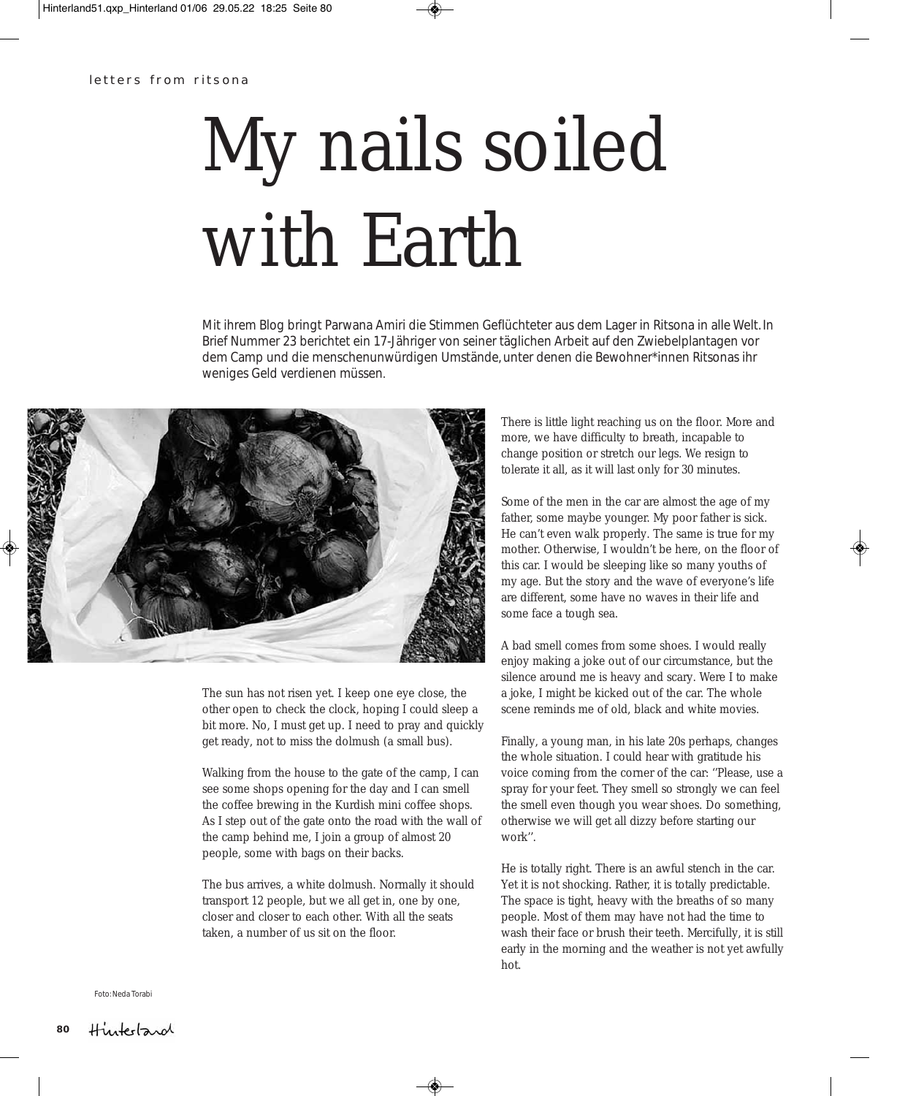## My nails soiled with Earth

Mit ihrem Blog bringt Parwana Amiri die Stimmen Geflüchteter aus dem Lager in Ritsona in alle Welt. In Brief Nummer 23 berichtet ein 17-Jähriger von seiner täglichen Arbeit auf den Zwiebelplantagen vor dem Camp und die menschenunwürdigen Umstände, unter denen die Bewohner\*innen Ritsonas ihr weniges Geld verdienen müssen.



The sun has not risen yet. I keep one eye close, the other open to check the clock, hoping I could sleep a bit more. No, I must get up. I need to pray and quickly get ready, not to miss the dolmush (a small bus).

Walking from the house to the gate of the camp, I can see some shops opening for the day and I can smell the coffee brewing in the Kurdish mini coffee shops. As I step out of the gate onto the road with the wall of the camp behind me, I join a group of almost 20 people, some with bags on their backs.

The bus arrives, a white dolmush. Normally it should transport 12 people, but we all get in, one by one, closer and closer to each other. With all the seats taken, a number of us sit on the floor.

There is little light reaching us on the floor. More and more, we have difficulty to breath, incapable to change position or stretch our legs. We resign to tolerate it all, as it will last only for 30 minutes.

Some of the men in the car are almost the age of my father, some maybe younger. My poor father is sick. He can't even walk properly. The same is true for my mother. Otherwise, I wouldn't be here, on the floor of this car. I would be sleeping like so many youths of my age. But the story and the wave of everyone's life are different, some have no waves in their life and some face a tough sea.

A bad smell comes from some shoes. I would really enjoy making a joke out of our circumstance, but the silence around me is heavy and scary. Were I to make a joke, I might be kicked out of the car. The whole scene reminds me of old, black and white movies.

Finally, a young man, in his late 20s perhaps, changes the whole situation. I could hear with gratitude his voice coming from the corner of the car: ''Please, use a spray for your feet. They smell so strongly we can feel the smell even though you wear shoes. Do something, otherwise we will get all dizzy before starting our work''.

He is totally right. There is an awful stench in the car. Yet it is not shocking. Rather, it is totally predictable. The space is tight, heavy with the breaths of so many people. Most of them may have not had the time to wash their face or brush their teeth. Mercifully, it is still early in the morning and the weather is not yet awfully hot.

Foto: Neda Torabi